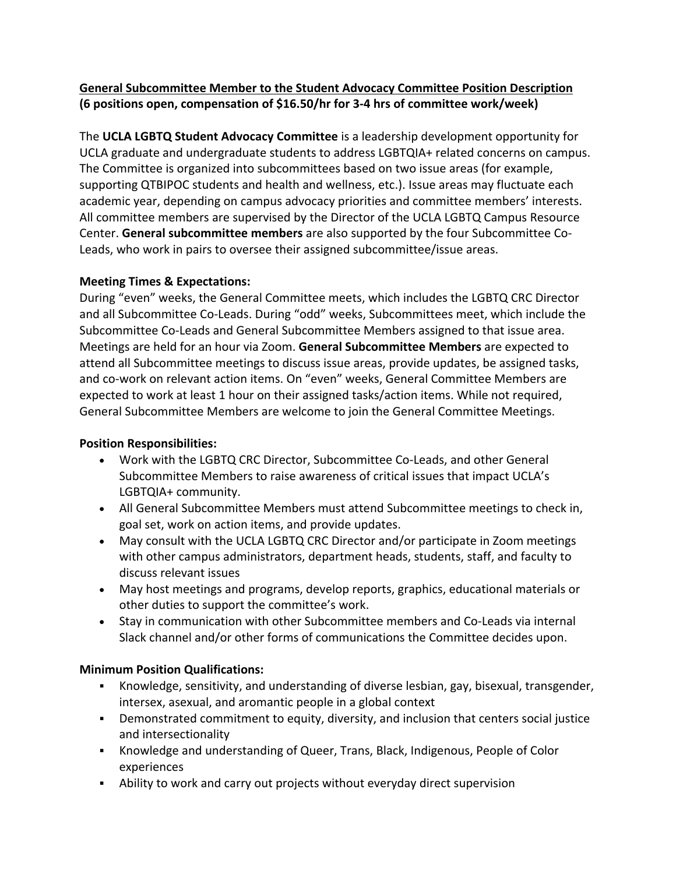## **General Subcommittee Member to the Student Advocacy Committee Position Description (6 positions open, compensation of \$16.50/hr for 3-4 hrs of committee work/week)**

The **UCLA LGBTQ Student Advocacy Committee** is a leadership development opportunity for UCLA graduate and undergraduate students to address LGBTQIA+ related concerns on campus. The Committee is organized into subcommittees based on two issue areas (for example, supporting QTBIPOC students and health and wellness, etc.). Issue areas may fluctuate each academic year, depending on campus advocacy priorities and committee members' interests. All committee members are supervised by the Director of the UCLA LGBTQ Campus Resource Center. **General subcommittee members** are also supported by the four Subcommittee Co-Leads, who work in pairs to oversee their assigned subcommittee/issue areas.

# **Meeting Times & Expectations:**

During "even" weeks, the General Committee meets, which includes the LGBTQ CRC Director and all Subcommittee Co-Leads. During "odd" weeks, Subcommittees meet, which include the Subcommittee Co-Leads and General Subcommittee Members assigned to that issue area. Meetings are held for an hour via Zoom. **General Subcommittee Members** are expected to attend all Subcommittee meetings to discuss issue areas, provide updates, be assigned tasks, and co-work on relevant action items. On "even" weeks, General Committee Members are expected to work at least 1 hour on their assigned tasks/action items. While not required, General Subcommittee Members are welcome to join the General Committee Meetings.

## **Position Responsibilities:**

- Work with the LGBTQ CRC Director, Subcommittee Co-Leads, and other General Subcommittee Members to raise awareness of critical issues that impact UCLA's LGBTQIA+ community.
- All General Subcommittee Members must attend Subcommittee meetings to check in, goal set, work on action items, and provide updates.
- May consult with the UCLA LGBTQ CRC Director and/or participate in Zoom meetings with other campus administrators, department heads, students, staff, and faculty to discuss relevant issues
- May host meetings and programs, develop reports, graphics, educational materials or other duties to support the committee's work.
- Stay in communication with other Subcommittee members and Co-Leads via internal Slack channel and/or other forms of communications the Committee decides upon.

# **Minimum Position Qualifications:**

- ! Knowledge, sensitivity, and understanding of diverse lesbian, gay, bisexual, transgender, intersex, asexual, and aromantic people in a global context
- ! Demonstrated commitment to equity, diversity, and inclusion that centers social justice and intersectionality
- ! Knowledge and understanding of Queer, Trans, Black, Indigenous, People of Color experiences
- . Ability to work and carry out projects without everyday direct supervision